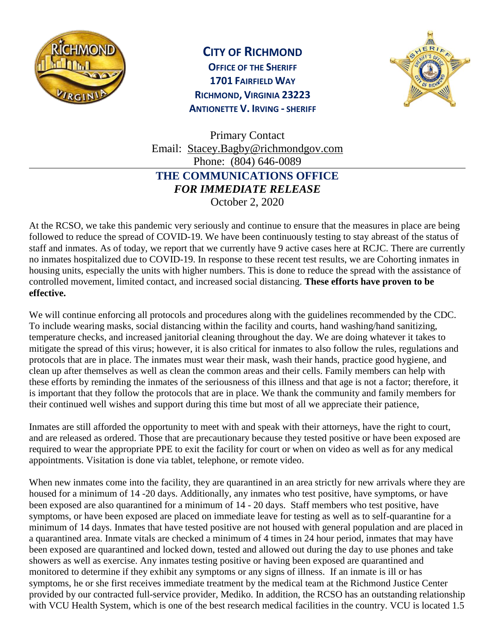

## **CITY OF RICHMOND**

**OFFICE OF THE SHERIFF 1701 FAIRFIELD WAY RICHMOND, VIRGINIA 23223 ANTIONETTE V. IRVING - SHERIFF**



Primary Contact Email: [Stacey.Bagby@richmondgov.com](mailto:Stacey.Bagby@richmondgov.com) Phone: (804) 646-0089 **THE COMMUNICATIONS OFFICE**  *FOR IMMEDIATE RELEASE* October 2, 2020

At the RCSO, we take this pandemic very seriously and continue to ensure that the measures in place are being followed to reduce the spread of COVID-19. We have been continuously testing to stay abreast of the status of staff and inmates. As of today, we report that we currently have 9 active cases here at RCJC. There are currently no inmates hospitalized due to COVID-19. In response to these recent test results, we are Cohorting inmates in housing units, especially the units with higher numbers. This is done to reduce the spread with the assistance of controlled movement, limited contact, and increased social distancing. **These efforts have proven to be effective.** 

We will continue enforcing all protocols and procedures along with the guidelines recommended by the CDC. To include wearing masks, social distancing within the facility and courts, hand washing/hand sanitizing, temperature checks, and increased janitorial cleaning throughout the day. We are doing whatever it takes to mitigate the spread of this virus; however, it is also critical for inmates to also follow the rules, regulations and protocols that are in place. The inmates must wear their mask, wash their hands, practice good hygiene, and clean up after themselves as well as clean the common areas and their cells. Family members can help with these efforts by reminding the inmates of the seriousness of this illness and that age is not a factor; therefore, it is important that they follow the protocols that are in place. We thank the community and family members for their continued well wishes and support during this time but most of all we appreciate their patience,

Inmates are still afforded the opportunity to meet with and speak with their attorneys, have the right to court, and are released as ordered. Those that are precautionary because they tested positive or have been exposed are required to wear the appropriate PPE to exit the facility for court or when on video as well as for any medical appointments. Visitation is done via tablet, telephone, or remote video.

When new inmates come into the facility, they are quarantined in an area strictly for new arrivals where they are housed for a minimum of 14 -20 days. Additionally, any inmates who test positive, have symptoms, or have been exposed are also quarantined for a minimum of 14 - 20 days. Staff members who test positive, have symptoms, or have been exposed are placed on immediate leave for testing as well as to self-quarantine for a minimum of 14 days. Inmates that have tested positive are not housed with general population and are placed in a quarantined area. Inmate vitals are checked a minimum of 4 times in 24 hour period, inmates that may have been exposed are quarantined and locked down, tested and allowed out during the day to use phones and take showers as well as exercise. Any inmates testing positive or having been exposed are quarantined and monitored to determine if they exhibit any symptoms or any signs of illness. If an inmate is ill or has symptoms, he or she first receives immediate treatment by the medical team at the Richmond Justice Center provided by our contracted full-service provider, Mediko. In addition, the RCSO has an outstanding relationship with VCU Health System, which is one of the best research medical facilities in the country. VCU is located 1.5